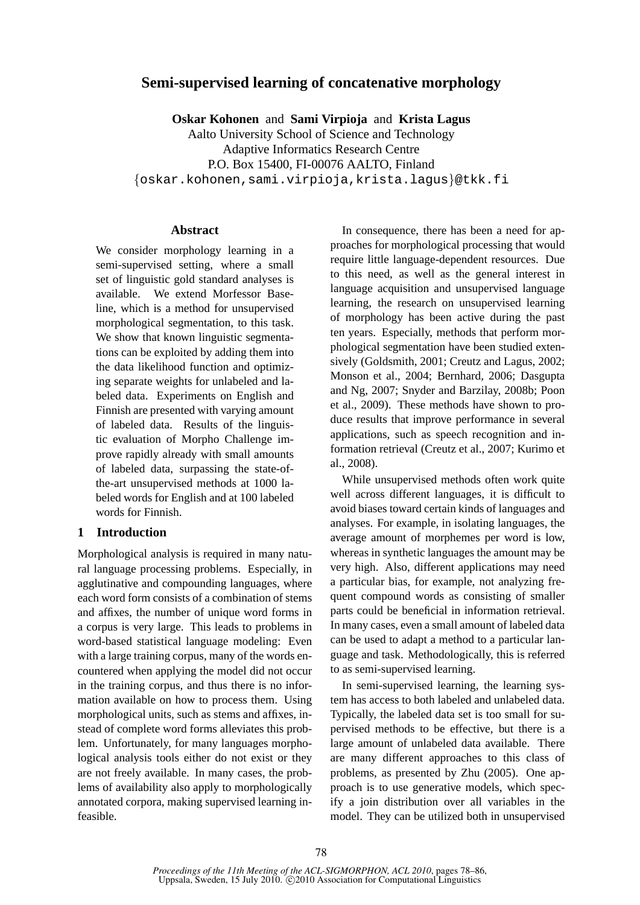# **Semi-supervised learning of concatenative morphology**

**Oskar Kohonen** and **Sami Virpioja** and **Krista Lagus** Aalto University School of Science and Technology Adaptive Informatics Research Centre P.O. Box 15400, FI-00076 AALTO, Finland {oskar.kohonen,sami.virpioja,krista.lagus}@tkk.fi

## **Abstract**

We consider morphology learning in a semi-supervised setting, where a small set of linguistic gold standard analyses is available. We extend Morfessor Baseline, which is a method for unsupervised morphological segmentation, to this task. We show that known linguistic segmentations can be exploited by adding them into the data likelihood function and optimizing separate weights for unlabeled and labeled data. Experiments on English and Finnish are presented with varying amount of labeled data. Results of the linguistic evaluation of Morpho Challenge improve rapidly already with small amounts of labeled data, surpassing the state-ofthe-art unsupervised methods at 1000 labeled words for English and at 100 labeled words for Finnish.

## **1 Introduction**

Morphological analysis is required in many natural language processing problems. Especially, in agglutinative and compounding languages, where each word form consists of a combination of stems and affixes, the number of unique word forms in a corpus is very large. This leads to problems in word-based statistical language modeling: Even with a large training corpus, many of the words encountered when applying the model did not occur in the training corpus, and thus there is no information available on how to process them. Using morphological units, such as stems and affixes, instead of complete word forms alleviates this problem. Unfortunately, for many languages morphological analysis tools either do not exist or they are not freely available. In many cases, the problems of availability also apply to morphologically annotated corpora, making supervised learning infeasible.

In consequence, there has been a need for approaches for morphological processing that would require little language-dependent resources. Due to this need, as well as the general interest in language acquisition and unsupervised language learning, the research on unsupervised learning of morphology has been active during the past ten years. Especially, methods that perform morphological segmentation have been studied extensively (Goldsmith, 2001; Creutz and Lagus, 2002; Monson et al., 2004; Bernhard, 2006; Dasgupta and Ng, 2007; Snyder and Barzilay, 2008b; Poon et al., 2009). These methods have shown to produce results that improve performance in several applications, such as speech recognition and information retrieval (Creutz et al., 2007; Kurimo et al., 2008).

While unsupervised methods often work quite well across different languages, it is difficult to avoid biases toward certain kinds of languages and analyses. For example, in isolating languages, the average amount of morphemes per word is low, whereas in synthetic languages the amount may be very high. Also, different applications may need a particular bias, for example, not analyzing frequent compound words as consisting of smaller parts could be beneficial in information retrieval. In many cases, even a small amount of labeled data can be used to adapt a method to a particular language and task. Methodologically, this is referred to as semi-supervised learning.

In semi-supervised learning, the learning system has access to both labeled and unlabeled data. Typically, the labeled data set is too small for supervised methods to be effective, but there is a large amount of unlabeled data available. There are many different approaches to this class of problems, as presented by Zhu (2005). One approach is to use generative models, which specify a join distribution over all variables in the model. They can be utilized both in unsupervised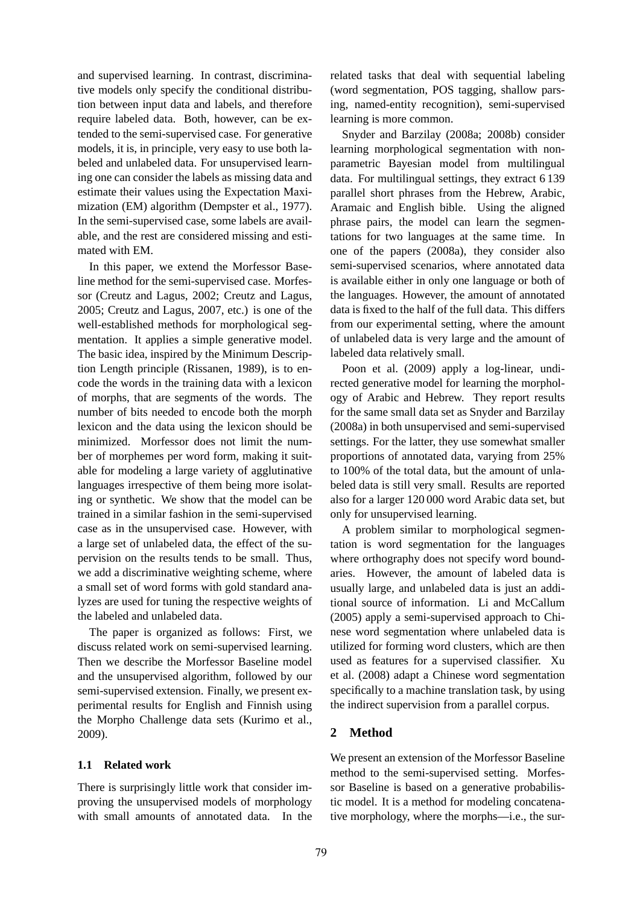and supervised learning. In contrast, discriminative models only specify the conditional distribution between input data and labels, and therefore require labeled data. Both, however, can be extended to the semi-supervised case. For generative models, it is, in principle, very easy to use both labeled and unlabeled data. For unsupervised learning one can consider the labels as missing data and estimate their values using the Expectation Maximization (EM) algorithm (Dempster et al., 1977). In the semi-supervised case, some labels are available, and the rest are considered missing and estimated with EM.

In this paper, we extend the Morfessor Baseline method for the semi-supervised case. Morfessor (Creutz and Lagus, 2002; Creutz and Lagus, 2005; Creutz and Lagus, 2007, etc.) is one of the well-established methods for morphological segmentation. It applies a simple generative model. The basic idea, inspired by the Minimum Description Length principle (Rissanen, 1989), is to encode the words in the training data with a lexicon of morphs, that are segments of the words. The number of bits needed to encode both the morph lexicon and the data using the lexicon should be minimized. Morfessor does not limit the number of morphemes per word form, making it suitable for modeling a large variety of agglutinative languages irrespective of them being more isolating or synthetic. We show that the model can be trained in a similar fashion in the semi-supervised case as in the unsupervised case. However, with a large set of unlabeled data, the effect of the supervision on the results tends to be small. Thus, we add a discriminative weighting scheme, where a small set of word forms with gold standard analyzes are used for tuning the respective weights of the labeled and unlabeled data.

The paper is organized as follows: First, we discuss related work on semi-supervised learning. Then we describe the Morfessor Baseline model and the unsupervised algorithm, followed by our semi-supervised extension. Finally, we present experimental results for English and Finnish using the Morpho Challenge data sets (Kurimo et al., 2009).

#### **1.1 Related work**

There is surprisingly little work that consider improving the unsupervised models of morphology with small amounts of annotated data. In the

related tasks that deal with sequential labeling (word segmentation, POS tagging, shallow parsing, named-entity recognition), semi-supervised learning is more common.

Snyder and Barzilay (2008a; 2008b) consider learning morphological segmentation with nonparametric Bayesian model from multilingual data. For multilingual settings, they extract 6 139 parallel short phrases from the Hebrew, Arabic, Aramaic and English bible. Using the aligned phrase pairs, the model can learn the segmentations for two languages at the same time. In one of the papers (2008a), they consider also semi-supervised scenarios, where annotated data is available either in only one language or both of the languages. However, the amount of annotated data is fixed to the half of the full data. This differs from our experimental setting, where the amount of unlabeled data is very large and the amount of labeled data relatively small.

Poon et al. (2009) apply a log-linear, undirected generative model for learning the morphology of Arabic and Hebrew. They report results for the same small data set as Snyder and Barzilay (2008a) in both unsupervised and semi-supervised settings. For the latter, they use somewhat smaller proportions of annotated data, varying from 25% to 100% of the total data, but the amount of unlabeled data is still very small. Results are reported also for a larger 120 000 word Arabic data set, but only for unsupervised learning.

A problem similar to morphological segmentation is word segmentation for the languages where orthography does not specify word boundaries. However, the amount of labeled data is usually large, and unlabeled data is just an additional source of information. Li and McCallum (2005) apply a semi-supervised approach to Chinese word segmentation where unlabeled data is utilized for forming word clusters, which are then used as features for a supervised classifier. Xu et al. (2008) adapt a Chinese word segmentation specifically to a machine translation task, by using the indirect supervision from a parallel corpus.

## **2 Method**

We present an extension of the Morfessor Baseline method to the semi-supervised setting. Morfessor Baseline is based on a generative probabilistic model. It is a method for modeling concatenative morphology, where the morphs—i.e., the sur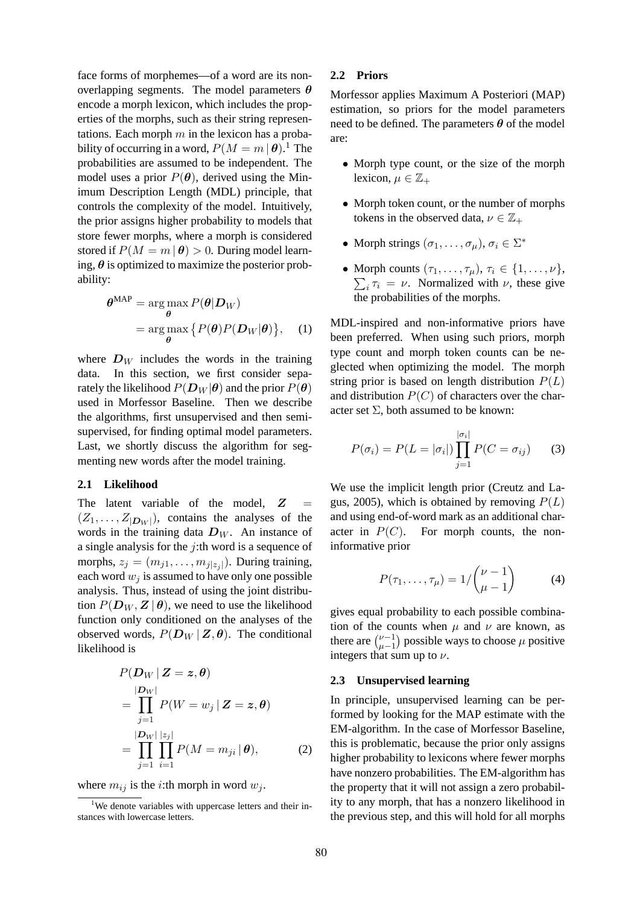face forms of morphemes—of a word are its nonoverlapping segments. The model parameters  $\theta$ encode a morph lexicon, which includes the properties of the morphs, such as their string representations. Each morph  $m$  in the lexicon has a probability of occurring in a word,  $P(M = m \, | \, \boldsymbol{\theta}).^1$  The probabilities are assumed to be independent. The model uses a prior  $P(\theta)$ , derived using the Minimum Description Length (MDL) principle, that controls the complexity of the model. Intuitively, the prior assigns higher probability to models that store fewer morphs, where a morph is considered stored if  $P(M = m | \theta) > 0$ . During model learning,  $\theta$  is optimized to maximize the posterior probability:

$$
\theta^{\text{MAP}} = \underset{\theta}{\arg\max} P(\theta | \mathbf{D}_W)
$$
  
= 
$$
\underset{\theta}{\arg\max} \{ P(\theta) P(\mathbf{D}_W | \theta) \}, \quad (1)
$$

where  $D_W$  includes the words in the training data. In this section, we first consider separately the likelihood  $P(D_W | \theta)$  and the prior  $P(\theta)$ used in Morfessor Baseline. Then we describe the algorithms, first unsupervised and then semisupervised, for finding optimal model parameters. Last, we shortly discuss the algorithm for segmenting new words after the model training.

#### **2.1 Likelihood**

The latent variable of the model,  $Z =$  $(Z_1, \ldots, Z_{|D_W|})$ , contains the analyses of the words in the training data  $D_W$ . An instance of a single analysis for the  $j$ :th word is a sequence of morphs,  $z_j = (m_{j1}, \ldots, m_{j|z_j|})$ . During training, each word  $w_i$  is assumed to have only one possible analysis. Thus, instead of using the joint distribution  $P(D_W, Z | \theta)$ , we need to use the likelihood function only conditioned on the analyses of the observed words,  $P(D_W | Z, \theta)$ . The conditional likelihood is

$$
P(\mathbf{D}_{W} | \mathbf{Z} = \mathbf{z}, \boldsymbol{\theta})
$$
  
= 
$$
\prod_{j=1}^{|D_{W}|} P(W = w_{j} | \mathbf{Z} = \mathbf{z}, \boldsymbol{\theta})
$$
  
= 
$$
\prod_{j=1}^{|D_{W}|} \prod_{i=1}^{|z_{j}|} P(M = m_{ji} | \boldsymbol{\theta}),
$$
 (2)

where  $m_{ij}$  is the *i*:th morph in word  $w_j$ .

#### **2.2 Priors**

Morfessor applies Maximum A Posteriori (MAP) estimation, so priors for the model parameters need to be defined. The parameters  $\theta$  of the model are:

- Morph type count, or the size of the morph lexicon,  $\mu \in \mathbb{Z}_+$
- Morph token count, or the number of morphs tokens in the observed data,  $\nu \in \mathbb{Z}_+$
- Morph strings  $(\sigma_1, \ldots, \sigma_\mu), \sigma_i \in \Sigma^*$
- Morph counts  $(\tau_1, \ldots, \tau_\mu), \tau_i \in \{1, \ldots, \nu\},\$  $\sum_i \tau_i = \nu$ . Normalized with  $\nu$ , these give the probabilities of the morphs.

MDL-inspired and non-informative priors have been preferred. When using such priors, morph type count and morph token counts can be neglected when optimizing the model. The morph string prior is based on length distribution  $P(L)$ and distribution  $P(C)$  of characters over the character set  $\Sigma$ , both assumed to be known:

$$
P(\sigma_i) = P(L = |\sigma_i|) \prod_{j=1}^{|\sigma_i|} P(C = \sigma_{ij})
$$
 (3)

We use the implicit length prior (Creutz and Lagus, 2005), which is obtained by removing  $P(L)$ and using end-of-word mark as an additional character in  $P(C)$ . For morph counts, the noninformative prior

$$
P(\tau_1,\ldots,\tau_\mu) = 1/\binom{\nu-1}{\mu-1} \tag{4}
$$

gives equal probability to each possible combination of the counts when  $\mu$  and  $\nu$  are known, as there are  $\binom{\nu-1}{\nu-1}$  $\mu-1$ ) possible ways to choose  $\mu$  positive integers that sum up to  $\nu$ .

#### **2.3 Unsupervised learning**

In principle, unsupervised learning can be performed by looking for the MAP estimate with the EM-algorithm. In the case of Morfessor Baseline, this is problematic, because the prior only assigns higher probability to lexicons where fewer morphs have nonzero probabilities. The EM-algorithm has the property that it will not assign a zero probability to any morph, that has a nonzero likelihood in the previous step, and this will hold for all morphs

<sup>&</sup>lt;sup>1</sup>We denote variables with uppercase letters and their instances with lowercase letters.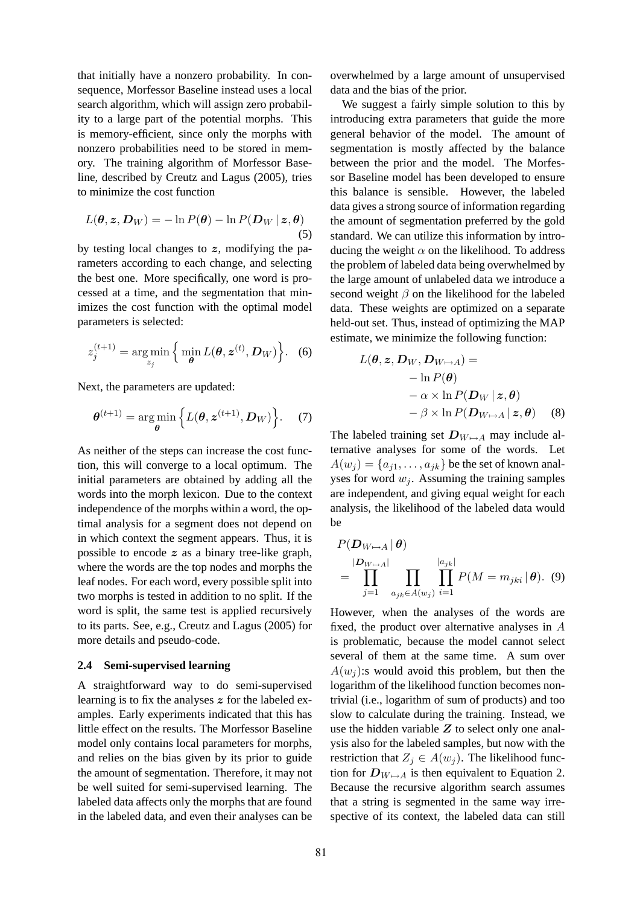that initially have a nonzero probability. In consequence, Morfessor Baseline instead uses a local search algorithm, which will assign zero probability to a large part of the potential morphs. This is memory-efficient, since only the morphs with nonzero probabilities need to be stored in memory. The training algorithm of Morfessor Baseline, described by Creutz and Lagus (2005), tries to minimize the cost function

$$
L(\boldsymbol{\theta}, \boldsymbol{z}, \boldsymbol{D}_W) = -\ln P(\boldsymbol{\theta}) - \ln P(\boldsymbol{D}_W | \boldsymbol{z}, \boldsymbol{\theta})
$$
\n(5)

by testing local changes to  $z$ , modifying the parameters according to each change, and selecting the best one. More specifically, one word is processed at a time, and the segmentation that minimizes the cost function with the optimal model parameters is selected:

$$
z_j^{(t+1)} = \argmin_{z_j} \left\{ \min_{\boldsymbol{\theta}} L(\boldsymbol{\theta}, \boldsymbol{z}^{(t)}, \boldsymbol{D}_W) \right\}.
$$
 (6)

Next, the parameters are updated:

$$
\boldsymbol{\theta}^{(t+1)} = \argmin_{\boldsymbol{\theta}} \left\{ L(\boldsymbol{\theta}, \boldsymbol{z}^{(t+1)}, \boldsymbol{D}_W) \right\}.
$$
 (7)

As neither of the steps can increase the cost function, this will converge to a local optimum. The initial parameters are obtained by adding all the words into the morph lexicon. Due to the context independence of the morphs within a word, the optimal analysis for a segment does not depend on in which context the segment appears. Thus, it is possible to encode  $z$  as a binary tree-like graph, where the words are the top nodes and morphs the leaf nodes. For each word, every possible split into two morphs is tested in addition to no split. If the word is split, the same test is applied recursively to its parts. See, e.g., Creutz and Lagus (2005) for more details and pseudo-code.

#### **2.4 Semi-supervised learning**

A straightforward way to do semi-supervised learning is to fix the analyses z for the labeled examples. Early experiments indicated that this has little effect on the results. The Morfessor Baseline model only contains local parameters for morphs, and relies on the bias given by its prior to guide the amount of segmentation. Therefore, it may not be well suited for semi-supervised learning. The labeled data affects only the morphs that are found in the labeled data, and even their analyses can be overwhelmed by a large amount of unsupervised data and the bias of the prior.

We suggest a fairly simple solution to this by introducing extra parameters that guide the more general behavior of the model. The amount of segmentation is mostly affected by the balance between the prior and the model. The Morfessor Baseline model has been developed to ensure this balance is sensible. However, the labeled data gives a strong source of information regarding the amount of segmentation preferred by the gold standard. We can utilize this information by introducing the weight  $\alpha$  on the likelihood. To address the problem of labeled data being overwhelmed by the large amount of unlabeled data we introduce a second weight  $\beta$  on the likelihood for the labeled data. These weights are optimized on a separate held-out set. Thus, instead of optimizing the MAP estimate, we minimize the following function:

$$
L(\theta, z, D_W, D_{W \mapsto A}) =
$$
  
- ln P(\theta)  
-  $\alpha \times$  ln P( $D_W | z, \theta$ )  
-  $\beta \times$  ln P( $D_{W \mapsto A} | z, \theta$ ) (8)

The labeled training set  $D_{W\mapsto A}$  may include alternative analyses for some of the words. Let  $A(w_i) = \{a_{i1}, \ldots, a_{ik}\}\$ be the set of known analyses for word  $w_i$ . Assuming the training samples are independent, and giving equal weight for each analysis, the likelihood of the labeled data would be

$$
P(\mathbf{D}_{W \mapsto A} | \boldsymbol{\theta})
$$
  
= 
$$
\prod_{j=1}^{|D_{W \mapsto A}|} \prod_{a_{jk} \in A(w_j)} \prod_{i=1}^{|a_{jk}|} P(M = m_{jki} | \boldsymbol{\theta}).
$$
 (9)

However, when the analyses of the words are fixed, the product over alternative analyses in A is problematic, because the model cannot select several of them at the same time. A sum over  $A(w_i)$ : s would avoid this problem, but then the logarithm of the likelihood function becomes nontrivial (i.e., logarithm of sum of products) and too slow to calculate during the training. Instead, we use the hidden variable  $Z$  to select only one analysis also for the labeled samples, but now with the restriction that  $Z_i \in A(w_i)$ . The likelihood function for  $D_{W\mapsto A}$  is then equivalent to Equation 2. Because the recursive algorithm search assumes that a string is segmented in the same way irrespective of its context, the labeled data can still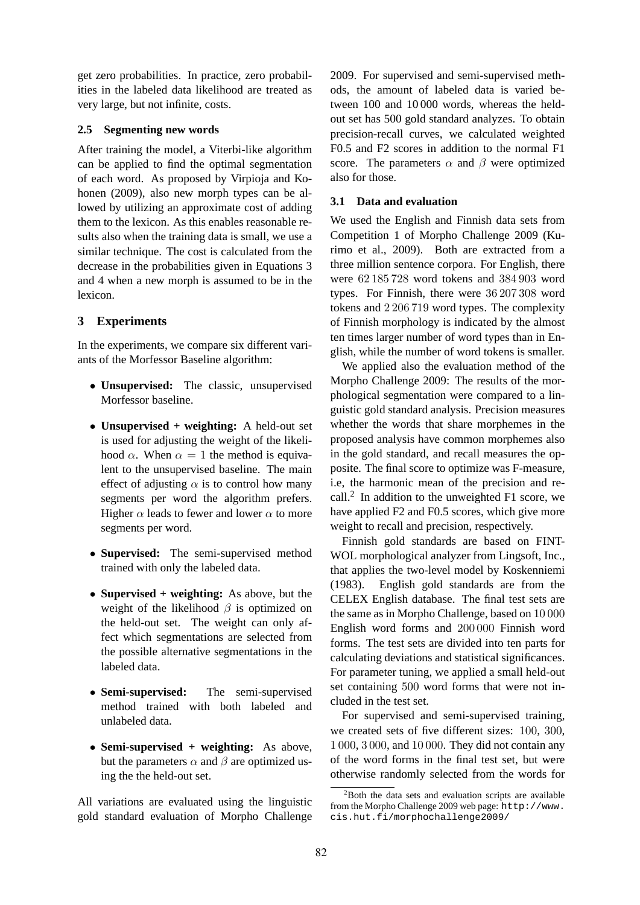get zero probabilities. In practice, zero probabilities in the labeled data likelihood are treated as very large, but not infinite, costs.

#### **2.5 Segmenting new words**

After training the model, a Viterbi-like algorithm can be applied to find the optimal segmentation of each word. As proposed by Virpioja and Kohonen (2009), also new morph types can be allowed by utilizing an approximate cost of adding them to the lexicon. As this enables reasonable results also when the training data is small, we use a similar technique. The cost is calculated from the decrease in the probabilities given in Equations 3 and 4 when a new morph is assumed to be in the lexicon.

## **3 Experiments**

In the experiments, we compare six different variants of the Morfessor Baseline algorithm:

- **Unsupervised:** The classic, unsupervised Morfessor baseline.
- **Unsupervised + weighting:** A held-out set is used for adjusting the weight of the likelihood  $\alpha$ . When  $\alpha = 1$  the method is equivalent to the unsupervised baseline. The main effect of adjusting  $\alpha$  is to control how many segments per word the algorithm prefers. Higher  $\alpha$  leads to fewer and lower  $\alpha$  to more segments per word.
- **Supervised:** The semi-supervised method trained with only the labeled data.
- **Supervised + weighting:** As above, but the weight of the likelihood  $\beta$  is optimized on the held-out set. The weight can only affect which segmentations are selected from the possible alternative segmentations in the labeled data.
- **Semi-supervised:** The semi-supervised method trained with both labeled and unlabeled data.
- **Semi-supervised + weighting:** As above, but the parameters  $\alpha$  and  $\beta$  are optimized using the the held-out set.

All variations are evaluated using the linguistic gold standard evaluation of Morpho Challenge

2009. For supervised and semi-supervised methods, the amount of labeled data is varied between 100 and 10 000 words, whereas the heldout set has 500 gold standard analyzes. To obtain precision-recall curves, we calculated weighted F0.5 and F2 scores in addition to the normal F1 score. The parameters  $\alpha$  and  $\beta$  were optimized also for those.

#### **3.1 Data and evaluation**

We used the English and Finnish data sets from Competition 1 of Morpho Challenge 2009 (Kurimo et al., 2009). Both are extracted from a three million sentence corpora. For English, there were 62 185 728 word tokens and 384 903 word types. For Finnish, there were 36 207 308 word tokens and 2 206 719 word types. The complexity of Finnish morphology is indicated by the almost ten times larger number of word types than in English, while the number of word tokens is smaller.

We applied also the evaluation method of the Morpho Challenge 2009: The results of the morphological segmentation were compared to a linguistic gold standard analysis. Precision measures whether the words that share morphemes in the proposed analysis have common morphemes also in the gold standard, and recall measures the opposite. The final score to optimize was F-measure, i.e, the harmonic mean of the precision and recall.<sup>2</sup> In addition to the unweighted F1 score, we have applied F2 and F0.5 scores, which give more weight to recall and precision, respectively.

Finnish gold standards are based on FINT-WOL morphological analyzer from Lingsoft, Inc., that applies the two-level model by Koskenniemi (1983). English gold standards are from the CELEX English database. The final test sets are the same as in Morpho Challenge, based on 10 000 English word forms and 200 000 Finnish word forms. The test sets are divided into ten parts for calculating deviations and statistical significances. For parameter tuning, we applied a small held-out set containing 500 word forms that were not included in the test set.

For supervised and semi-supervised training, we created sets of five different sizes: 100, 300, 1 000, 3 000, and 10 000. They did not contain any of the word forms in the final test set, but were otherwise randomly selected from the words for

 $2$ Both the data sets and evaluation scripts are available from the Morpho Challenge 2009 web page: http://www. cis.hut.fi/morphochallenge2009/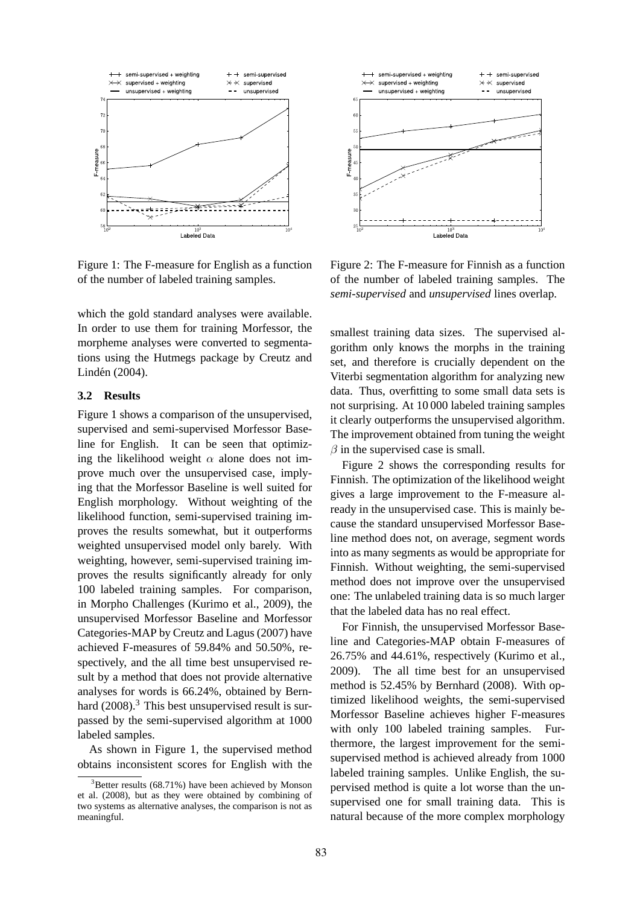

Figure 1: The F-measure for English as a function of the number of labeled training samples.

which the gold standard analyses were available. In order to use them for training Morfessor, the morpheme analyses were converted to segmentations using the Hutmegs package by Creutz and Lindén (2004).

#### **3.2 Results**

Figure 1 shows a comparison of the unsupervised, supervised and semi-supervised Morfessor Baseline for English. It can be seen that optimizing the likelihood weight  $\alpha$  alone does not improve much over the unsupervised case, implying that the Morfessor Baseline is well suited for English morphology. Without weighting of the likelihood function, semi-supervised training improves the results somewhat, but it outperforms weighted unsupervised model only barely. With weighting, however, semi-supervised training improves the results significantly already for only 100 labeled training samples. For comparison, in Morpho Challenges (Kurimo et al., 2009), the unsupervised Morfessor Baseline and Morfessor Categories-MAP by Creutz and Lagus (2007) have achieved F-measures of 59.84% and 50.50%, respectively, and the all time best unsupervised result by a method that does not provide alternative analyses for words is 66.24%, obtained by Bernhard  $(2008).$ <sup>3</sup> This best unsupervised result is surpassed by the semi-supervised algorithm at 1000 labeled samples.

As shown in Figure 1, the supervised method obtains inconsistent scores for English with the



Figure 2: The F-measure for Finnish as a function of the number of labeled training samples. The *semi-supervised* and *unsupervised* lines overlap.

smallest training data sizes. The supervised algorithm only knows the morphs in the training set, and therefore is crucially dependent on the Viterbi segmentation algorithm for analyzing new data. Thus, overfitting to some small data sets is not surprising. At 10 000 labeled training samples it clearly outperforms the unsupervised algorithm. The improvement obtained from tuning the weight  $\beta$  in the supervised case is small.

Figure 2 shows the corresponding results for Finnish. The optimization of the likelihood weight gives a large improvement to the F-measure already in the unsupervised case. This is mainly because the standard unsupervised Morfessor Baseline method does not, on average, segment words into as many segments as would be appropriate for Finnish. Without weighting, the semi-supervised method does not improve over the unsupervised one: The unlabeled training data is so much larger that the labeled data has no real effect.

For Finnish, the unsupervised Morfessor Baseline and Categories-MAP obtain F-measures of 26.75% and 44.61%, respectively (Kurimo et al., 2009). The all time best for an unsupervised method is 52.45% by Bernhard (2008). With optimized likelihood weights, the semi-supervised Morfessor Baseline achieves higher F-measures with only 100 labeled training samples. Furthermore, the largest improvement for the semisupervised method is achieved already from 1000 labeled training samples. Unlike English, the supervised method is quite a lot worse than the unsupervised one for small training data. This is natural because of the more complex morphology

 $3$ Better results (68.71%) have been achieved by Monson et al. (2008), but as they were obtained by combining of two systems as alternative analyses, the comparison is not as meaningful.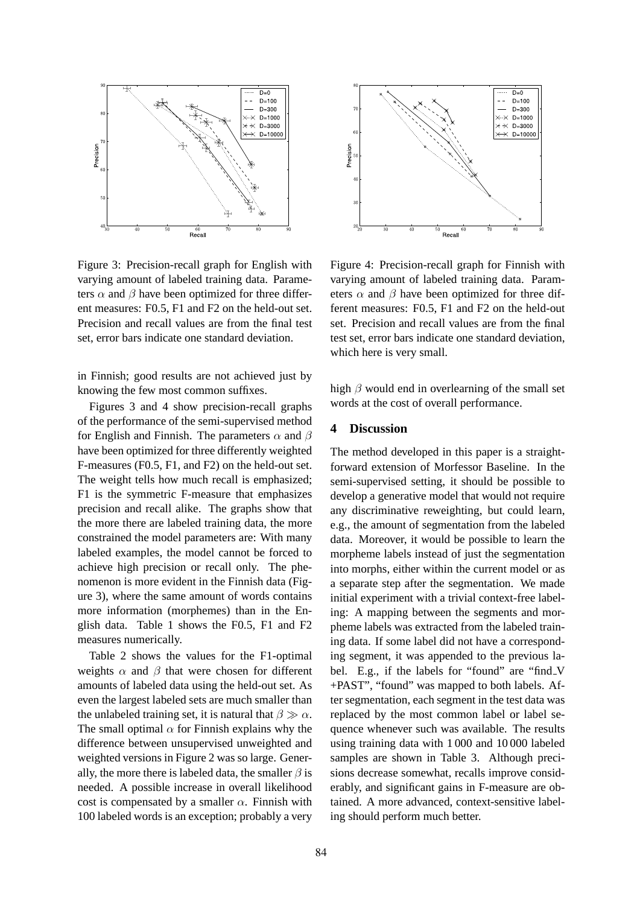

Figure 3: Precision-recall graph for English with varying amount of labeled training data. Parameters  $\alpha$  and  $\beta$  have been optimized for three different measures: F0.5, F1 and F2 on the held-out set. Precision and recall values are from the final test set, error bars indicate one standard deviation.

in Finnish; good results are not achieved just by knowing the few most common suffixes.

Figures 3 and 4 show precision-recall graphs of the performance of the semi-supervised method for English and Finnish. The parameters  $\alpha$  and  $\beta$ have been optimized for three differently weighted F-measures (F0.5, F1, and F2) on the held-out set. The weight tells how much recall is emphasized; F1 is the symmetric F-measure that emphasizes precision and recall alike. The graphs show that the more there are labeled training data, the more constrained the model parameters are: With many labeled examples, the model cannot be forced to achieve high precision or recall only. The phenomenon is more evident in the Finnish data (Figure 3), where the same amount of words contains more information (morphemes) than in the English data. Table 1 shows the F0.5, F1 and F2 measures numerically.

Table 2 shows the values for the F1-optimal weights  $\alpha$  and  $\beta$  that were chosen for different amounts of labeled data using the held-out set. As even the largest labeled sets are much smaller than the unlabeled training set, it is natural that  $\beta \gg \alpha$ . The small optimal  $\alpha$  for Finnish explains why the difference between unsupervised unweighted and weighted versions in Figure 2 was so large. Generally, the more there is labeled data, the smaller  $\beta$  is needed. A possible increase in overall likelihood cost is compensated by a smaller  $\alpha$ . Finnish with 100 labeled words is an exception; probably a very



Figure 4: Precision-recall graph for Finnish with varying amount of labeled training data. Parameters  $\alpha$  and  $\beta$  have been optimized for three different measures: F0.5, F1 and F2 on the held-out set. Precision and recall values are from the final test set, error bars indicate one standard deviation, which here is very small.

high  $\beta$  would end in overlearning of the small set words at the cost of overall performance.

#### **4 Discussion**

The method developed in this paper is a straightforward extension of Morfessor Baseline. In the semi-supervised setting, it should be possible to develop a generative model that would not require any discriminative reweighting, but could learn, e.g., the amount of segmentation from the labeled data. Moreover, it would be possible to learn the morpheme labels instead of just the segmentation into morphs, either within the current model or as a separate step after the segmentation. We made initial experiment with a trivial context-free labeling: A mapping between the segments and morpheme labels was extracted from the labeled training data. If some label did not have a corresponding segment, it was appended to the previous label. E.g., if the labels for "found" are "find\_V +PAST", "found" was mapped to both labels. After segmentation, each segment in the test data was replaced by the most common label or label sequence whenever such was available. The results using training data with 1 000 and 10 000 labeled samples are shown in Table 3. Although precisions decrease somewhat, recalls improve considerably, and significant gains in F-measure are obtained. A more advanced, context-sensitive labeling should perform much better.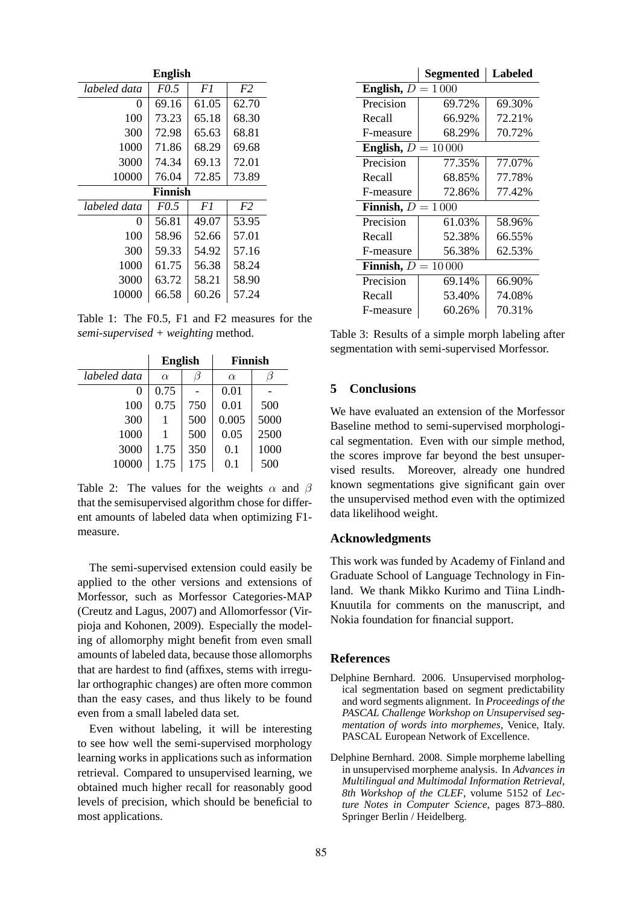| <b>English</b> |             |       |                |  |  |
|----------------|-------------|-------|----------------|--|--|
| labeled data   | <i>FO.5</i> | F1    | F <sub>2</sub> |  |  |
| 0              | 69.16       | 61.05 | 62.70          |  |  |
| 100            | 73.23       | 65.18 | 68.30          |  |  |
| 300            | 72.98       | 65.63 | 68.81          |  |  |
| 1000           | 71.86       | 68.29 | 69.68          |  |  |
| 3000           | 74.34       | 69.13 | 72.01          |  |  |
| 10000          | 76.04       | 72.85 | 73.89          |  |  |
| Finnish        |             |       |                |  |  |
|                |             |       |                |  |  |
| labeled data   | FO.5        | F1    | F <sub>2</sub> |  |  |
| 0              | 56.81       | 49.07 | 53.95          |  |  |
| 100            | 58.96       | 52.66 | 57.01          |  |  |
| 300            | 59.33       | 54.92 | 57.16          |  |  |
| 1000           | 61.75       | 56.38 | 58.24          |  |  |
| 3000           | 63.72       | 58.21 | 58.90          |  |  |

Table 1: The F0.5, F1 and F2 measures for the *semi-supervised + weighting* method.

|                   | <b>English</b> |     | <b>Finnish</b> |      |
|-------------------|----------------|-----|----------------|------|
| labeled data      | $\alpha$       |     | $\alpha$       |      |
| $\mathbf{\Omega}$ | 0.75           |     | 0.01           |      |
| 100               | 0.75           | 750 | 0.01           | 500  |
| 300               |                | 500 | 0.005          | 5000 |
| 1000              |                | 500 | 0.05           | 2500 |
| 3000              | 1.75           | 350 | 0.1            | 1000 |
| 10000             | 1.75           | 175 | 0.1            | 500  |

Table 2: The values for the weights  $\alpha$  and  $\beta$ that the semisupervised algorithm chose for different amounts of labeled data when optimizing F1 measure.

The semi-supervised extension could easily be applied to the other versions and extensions of Morfessor, such as Morfessor Categories-MAP (Creutz and Lagus, 2007) and Allomorfessor (Virpioja and Kohonen, 2009). Especially the modeling of allomorphy might benefit from even small amounts of labeled data, because those allomorphs that are hardest to find (affixes, stems with irregular orthographic changes) are often more common than the easy cases, and thus likely to be found even from a small labeled data set.

Even without labeling, it will be interesting to see how well the semi-supervised morphology learning works in applications such as information retrieval. Compared to unsupervised learning, we obtained much higher recall for reasonably good levels of precision, which should be beneficial to most applications.

|                          | Segmented | <b>Labeled</b> |  |  |  |
|--------------------------|-----------|----------------|--|--|--|
| English, $D$<br>$=1000$  |           |                |  |  |  |
| Precision                | 69.72%    | 69.30%         |  |  |  |
| Recall                   | 66.92%    | 72.21%         |  |  |  |
| F-measure                | 68.29%    | 70.72%         |  |  |  |
| English, $D$<br>$=10000$ |           |                |  |  |  |
| Precision                | 77.35%    | 77.07%         |  |  |  |
| Recall                   | 68.85%    | 77.78%         |  |  |  |
| F-measure                | 72.86%    | 77.42%         |  |  |  |
| Finnish, $D$<br>$=1000$  |           |                |  |  |  |
| Precision                | 61.03%    | 58.96%         |  |  |  |
| Recall                   | 52.38%    | 66.55%         |  |  |  |
| F-measure                | 56.38%    | 62.53%         |  |  |  |
| $=10000$<br>Finnish, $D$ |           |                |  |  |  |
| Precision                | 69.14%    | 66.90%         |  |  |  |
| Recall                   | 53.40%    | 74.08%         |  |  |  |
| F-measure                | 60.26%    | 70.31%         |  |  |  |

Table 3: Results of a simple morph labeling after segmentation with semi-supervised Morfessor.

## **5 Conclusions**

We have evaluated an extension of the Morfessor Baseline method to semi-supervised morphological segmentation. Even with our simple method, the scores improve far beyond the best unsupervised results. Moreover, already one hundred known segmentations give significant gain over the unsupervised method even with the optimized data likelihood weight.

#### **Acknowledgments**

This work was funded by Academy of Finland and Graduate School of Language Technology in Finland. We thank Mikko Kurimo and Tiina Lindh-Knuutila for comments on the manuscript, and Nokia foundation for financial support.

#### **References**

- Delphine Bernhard. 2006. Unsupervised morphological segmentation based on segment predictability and word segments alignment. In *Proceedings of the PASCAL Challenge Workshop on Unsupervised segmentation of words into morphemes*, Venice, Italy. PASCAL European Network of Excellence.
- Delphine Bernhard. 2008. Simple morpheme labelling in unsupervised morpheme analysis. In *Advances in Multilingual and Multimodal Information Retrieval, 8th Workshop of the CLEF*, volume 5152 of *Lecture Notes in Computer Science*, pages 873–880. Springer Berlin / Heidelberg.